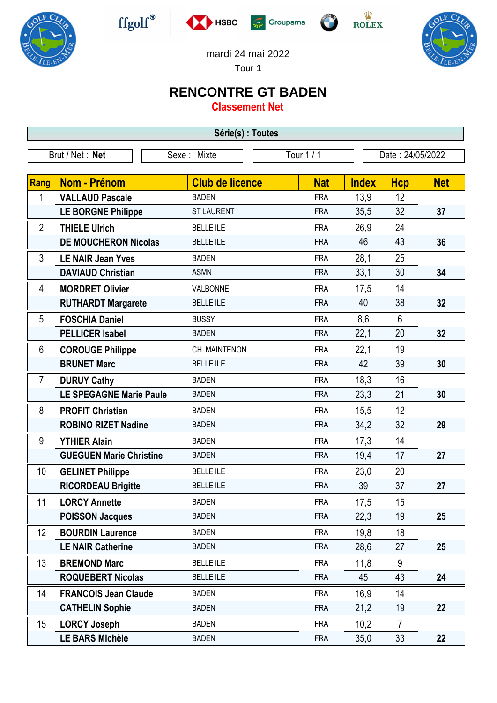











mardi 24 mai 2022

Tour 1

## **RENCONTRE GT BADEN**

**Classement Net**

| Série(s) : Toutes |                                |                        |            |              |                  |            |  |  |  |  |
|-------------------|--------------------------------|------------------------|------------|--------------|------------------|------------|--|--|--|--|
| Brut / Net: Net   |                                | Sexe: Mixte            | Tour $1/1$ |              | Date: 24/05/2022 |            |  |  |  |  |
|                   |                                |                        |            |              |                  |            |  |  |  |  |
| <b>Rang</b>       | Nom - Prénom                   | <b>Club de licence</b> | <b>Nat</b> | <b>Index</b> | <b>Hcp</b>       | <b>Net</b> |  |  |  |  |
| 1                 | <b>VALLAUD Pascale</b>         | <b>BADEN</b>           | <b>FRA</b> | 13,9         | 12               |            |  |  |  |  |
|                   | <b>LE BORGNE Philippe</b>      | <b>ST LAURENT</b>      | <b>FRA</b> | 35,5         | 32               | 37         |  |  |  |  |
| $\overline{2}$    | <b>THIELE Ulrich</b>           | <b>BELLE ILE</b>       | <b>FRA</b> | 26,9         | 24               |            |  |  |  |  |
|                   | <b>DE MOUCHERON Nicolas</b>    | <b>BELLE ILE</b>       | <b>FRA</b> | 46           | 43               | 36         |  |  |  |  |
| 3                 | <b>LE NAIR Jean Yves</b>       | <b>BADEN</b>           | <b>FRA</b> | 28,1         | 25               |            |  |  |  |  |
|                   | <b>DAVIAUD Christian</b>       | <b>ASMN</b>            | <b>FRA</b> | 33,1         | 30               | 34         |  |  |  |  |
| 4                 | <b>MORDRET Olivier</b>         | VALBONNE               | <b>FRA</b> | 17,5         | 14               |            |  |  |  |  |
|                   | <b>RUTHARDT Margarete</b>      | <b>BELLE ILE</b>       | <b>FRA</b> | 40           | 38               | 32         |  |  |  |  |
| 5                 | <b>FOSCHIA Daniel</b>          | <b>BUSSY</b>           | <b>FRA</b> | 8,6          | 6                |            |  |  |  |  |
|                   | <b>PELLICER Isabel</b>         | <b>BADEN</b>           | <b>FRA</b> | 22,1         | 20               | 32         |  |  |  |  |
| 6                 | <b>COROUGE Philippe</b>        | CH. MAINTENON          | <b>FRA</b> | 22,1         | 19               |            |  |  |  |  |
|                   | <b>BRUNET Marc</b>             | <b>BELLE ILE</b>       | <b>FRA</b> | 42           | 39               | 30         |  |  |  |  |
| 7                 | <b>DURUY Cathy</b>             | <b>BADEN</b>           | <b>FRA</b> | 18,3         | 16               |            |  |  |  |  |
|                   | <b>LE SPEGAGNE Marie Paule</b> | <b>BADEN</b>           | <b>FRA</b> | 23,3         | 21               | 30         |  |  |  |  |
| 8                 | <b>PROFIT Christian</b>        | <b>BADEN</b>           | <b>FRA</b> | 15,5         | 12               |            |  |  |  |  |
|                   | <b>ROBINO RIZET Nadine</b>     | <b>BADEN</b>           | <b>FRA</b> | 34,2         | 32               | 29         |  |  |  |  |
| 9                 | <b>YTHIER Alain</b>            | <b>BADEN</b>           | <b>FRA</b> | 17,3         | 14               |            |  |  |  |  |
|                   | <b>GUEGUEN Marie Christine</b> | <b>BADEN</b>           | <b>FRA</b> | 19,4         | 17               | 27         |  |  |  |  |
| 10                | <b>GELINET Philippe</b>        | <b>BELLE ILE</b>       | <b>FRA</b> | 23,0         | 20               |            |  |  |  |  |
|                   | <b>RICORDEAU Brigitte</b>      | <b>BELLE ILE</b>       | <b>FRA</b> | 39           | 37               | 27         |  |  |  |  |
| 11                | <b>LORCY Annette</b>           | <b>BADEN</b>           | <b>FRA</b> | 17,5         | 15               |            |  |  |  |  |
|                   | <b>POISSON Jacques</b>         | <b>BADEN</b>           | <b>FRA</b> | 22,3         | 19               | 25         |  |  |  |  |
| 12                | <b>BOURDIN Laurence</b>        | <b>BADEN</b>           | <b>FRA</b> | 19,8         | 18               |            |  |  |  |  |
|                   | <b>LE NAIR Catherine</b>       | <b>BADEN</b>           | <b>FRA</b> | 28,6         | 27               | 25         |  |  |  |  |
| 13                | <b>BREMOND Marc</b>            | <b>BELLE ILE</b>       | <b>FRA</b> | 11,8         | 9                |            |  |  |  |  |
|                   | <b>ROQUEBERT Nicolas</b>       | <b>BELLE ILE</b>       | <b>FRA</b> | 45           | 43               | 24         |  |  |  |  |
| 14                | <b>FRANCOIS Jean Claude</b>    | <b>BADEN</b>           | <b>FRA</b> | 16,9         | 14               |            |  |  |  |  |
|                   | <b>CATHELIN Sophie</b>         | <b>BADEN</b>           | <b>FRA</b> | 21,2         | 19               | 22         |  |  |  |  |
| 15                | <b>LORCY Joseph</b>            | <b>BADEN</b>           | <b>FRA</b> | 10,2         | $\overline{7}$   |            |  |  |  |  |
|                   | <b>LE BARS Michèle</b>         | <b>BADEN</b>           | <b>FRA</b> | 35,0         | 33               | 22         |  |  |  |  |
|                   |                                |                        |            |              |                  |            |  |  |  |  |